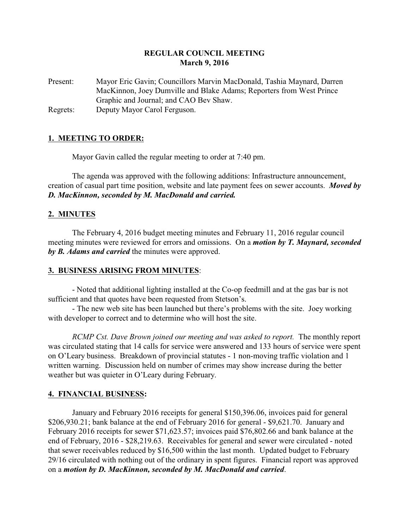# **REGULAR COUNCIL MEETING March 9, 2016**

Present: Mayor Eric Gavin; Councillors Marvin MacDonald, Tashia Maynard, Darren MacKinnon, Joey Dumville and Blake Adams; Reporters from West Prince Graphic and Journal; and CAO Bev Shaw. Regrets: Deputy Mayor Carol Ferguson.

### **1. MEETING TO ORDER:**

Mayor Gavin called the regular meeting to order at 7:40 pm.

The agenda was approved with the following additions: Infrastructure announcement, creation of casual part time position, website and late payment fees on sewer accounts. *Moved by D. MacKinnon, seconded by M. MacDonald and carried.*

## **2. MINUTES**

The February 4, 2016 budget meeting minutes and February 11, 2016 regular council meeting minutes were reviewed for errors and omissions. On a *motion by T. Maynard, seconded by B. Adams and carried* the minutes were approved.

### **3. BUSINESS ARISING FROM MINUTES**:

- Noted that additional lighting installed at the Co-op feedmill and at the gas bar is not sufficient and that quotes have been requested from Stetson's.

- The new web site has been launched but there's problems with the site. Joey working with developer to correct and to determine who will host the site.

*RCMP Cst. Dave Brown joined our meeting and was asked to report.* The monthly report was circulated stating that 14 calls for service were answered and 133 hours of service were spent on O'Leary business. Breakdown of provincial statutes - 1 non-moving traffic violation and 1 written warning. Discussion held on number of crimes may show increase during the better weather but was quieter in O'Leary during February.

### **4. FINANCIAL BUSINESS:**

January and February 2016 receipts for general \$150,396.06, invoices paid for general \$206,930.21; bank balance at the end of February 2016 for general - \$9,621.70. January and February 2016 receipts for sewer \$71,623.57; invoices paid \$76,802.66 and bank balance at the end of February, 2016 - \$28,219.63. Receivables for general and sewer were circulated - noted that sewer receivables reduced by \$16,500 within the last month. Updated budget to February 29/16 circulated with nothing out of the ordinary in spent figures. Financial report was approved on a *motion by D. MacKinnon, seconded by M. MacDonald and carried*.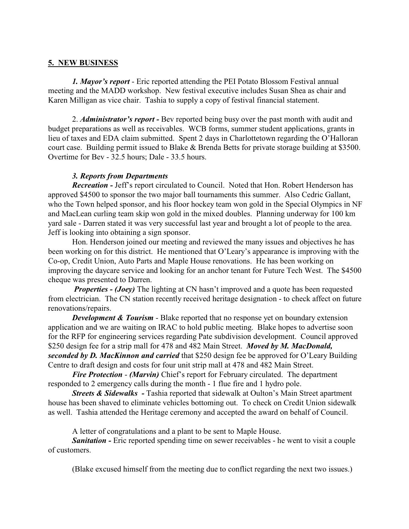## **5. NEW BUSINESS**

*1. Mayor's report* - Eric reported attending the PEI Potato Blossom Festival annual meeting and the MADD workshop. New festival executive includes Susan Shea as chair and Karen Milligan as vice chair. Tashia to supply a copy of festival financial statement.

2. *Administrator's report -* Bev reported being busy over the past month with audit and budget preparations as well as receivables. WCB forms, summer student applications, grants in lieu of taxes and EDA claim submitted. Spent 2 days in Charlottetown regarding the O'Halloran court case. Building permit issued to Blake & Brenda Betts for private storage building at \$3500. Overtime for Bev - 32.5 hours; Dale - 33.5 hours.

### *3. Reports from Departments*

*Recreation -* Jeff's report circulated to Council. Noted that Hon. Robert Henderson has approved \$4500 to sponsor the two major ball tournaments this summer. Also Cedric Gallant, who the Town helped sponsor, and his floor hockey team won gold in the Special Olympics in NF and MacLean curling team skip won gold in the mixed doubles. Planning underway for 100 km yard sale - Darren stated it was very successful last year and brought a lot of people to the area. Jeff is looking into obtaining a sign sponsor.

Hon. Henderson joined our meeting and reviewed the many issues and objectives he has been working on for this district. He mentioned that O'Leary's appearance is improving with the Co-op, Credit Union, Auto Parts and Maple House renovations. He has been working on improving the daycare service and looking for an anchor tenant for Future Tech West. The \$4500 cheque was presented to Darren.

*Properties - (Joey)* The lighting at CN hasn't improved and a quote has been requested from electrician. The CN station recently received heritage designation - to check affect on future renovations/repairs.

*Development & Tourism* - Blake reported that no response yet on boundary extension application and we are waiting on IRAC to hold public meeting. Blake hopes to advertise soon for the RFP for engineering services regarding Pate subdivision development. Council approved \$250 design fee for a strip mall for 478 and 482 Main Street. *Moved by M. MacDonald, seconded by D. MacKinnon and carried* that \$250 design fee be approved for O'Leary Building Centre to draft design and costs for four unit strip mall at 478 and 482 Main Street.

*Fire Protection* - *(Marvin)* Chief's report for February circulated. The department responded to 2 emergency calls during the month - 1 flue fire and 1 hydro pole.

*Streets & Sidewalks - Tashia reported that sidewalk at Oulton's Main Street apartment* house has been shaved to eliminate vehicles bottoming out. To check on Credit Union sidewalk as well. Tashia attended the Heritage ceremony and accepted the award on behalf of Council.

A letter of congratulations and a plant to be sent to Maple House.

*Sanitation -* Eric reported spending time on sewer receivables - he went to visit a couple of customers.

(Blake excused himself from the meeting due to conflict regarding the next two issues.)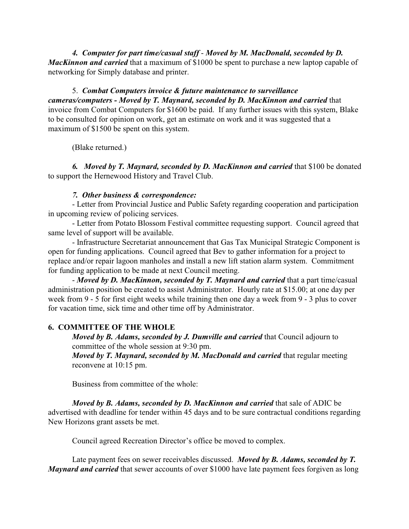*4. Computer for part time/casual staff* - *Moved by M. MacDonald, seconded by D. MacKinnon and carried* that a maximum of \$1000 be spent to purchase a new laptop capable of networking for Simply database and printer.

5. *Combat Computers invoice & future maintenance to surveillance cameras/computers - Moved by T. Maynard, seconded by D. MacKinnon and carried* that invoice from Combat Computers for \$1600 be paid. If any further issues with this system, Blake to be consulted for opinion on work, get an estimate on work and it was suggested that a maximum of \$1500 be spent on this system.

(Blake returned.)

*6. Moved by T. Maynard, seconded by D. MacKinnon and carried* that \$100 be donated to support the Hernewood History and Travel Club.

## *7. Other business & correspondence:*

- Letter from Provincial Justice and Public Safety regarding cooperation and participation in upcoming review of policing services.

- Letter from Potato Blossom Festival committee requesting support. Council agreed that same level of support will be available.

- Infrastructure Secretariat announcement that Gas Tax Municipal Strategic Component is open for funding applications. Council agreed that Bev to gather information for a project to replace and/or repair lagoon manholes and install a new lift station alarm system. Commitment for funding application to be made at next Council meeting.

- *Moved by D. MacKinnon, seconded by T. Maynard and carried* that a part time/casual administration position be created to assist Administrator. Hourly rate at \$15.00; at one day per week from 9 - 5 for first eight weeks while training then one day a week from 9 - 3 plus to cover for vacation time, sick time and other time off by Administrator.

# **6. COMMITTEE OF THE WHOLE**

*Moved by B. Adams, seconded by J. Dumville and carried that Council adjourn to* committee of the whole session at 9:30 pm.

*Moved by T. Maynard, seconded by M. MacDonald and carried* that regular meeting reconvene at 10:15 pm.

Business from committee of the whole:

*Moved by B. Adams, seconded by D. MacKinnon and carried* that sale of ADIC be advertised with deadline for tender within 45 days and to be sure contractual conditions regarding New Horizons grant assets be met.

Council agreed Recreation Director's office be moved to complex.

Late payment fees on sewer receivables discussed. *Moved by B. Adams, seconded by T. Maynard and carried* that sewer accounts of over \$1000 have late payment fees forgiven as long